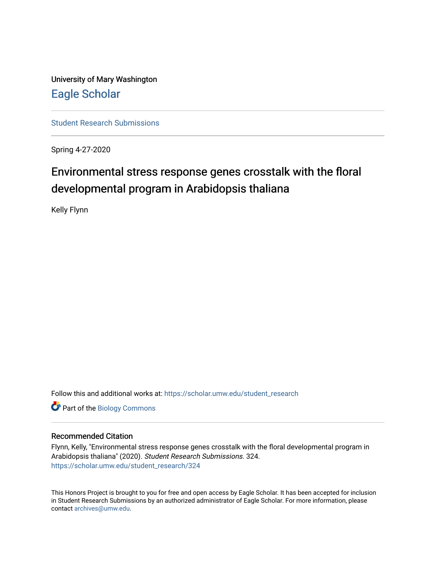University of Mary Washington [Eagle Scholar](https://scholar.umw.edu/) 

[Student Research Submissions](https://scholar.umw.edu/student_research) 

Spring 4-27-2020

# Environmental stress response genes crosstalk with the floral developmental program in Arabidopsis thaliana

Kelly Flynn

Follow this and additional works at: [https://scholar.umw.edu/student\\_research](https://scholar.umw.edu/student_research?utm_source=scholar.umw.edu%2Fstudent_research%2F324&utm_medium=PDF&utm_campaign=PDFCoverPages)

Part of the [Biology Commons](http://network.bepress.com/hgg/discipline/41?utm_source=scholar.umw.edu%2Fstudent_research%2F324&utm_medium=PDF&utm_campaign=PDFCoverPages) 

#### Recommended Citation

Flynn, Kelly, "Environmental stress response genes crosstalk with the floral developmental program in Arabidopsis thaliana" (2020). Student Research Submissions. 324. [https://scholar.umw.edu/student\\_research/324](https://scholar.umw.edu/student_research/324?utm_source=scholar.umw.edu%2Fstudent_research%2F324&utm_medium=PDF&utm_campaign=PDFCoverPages)

This Honors Project is brought to you for free and open access by Eagle Scholar. It has been accepted for inclusion in Student Research Submissions by an authorized administrator of Eagle Scholar. For more information, please contact [archives@umw.edu](mailto:archives@umw.edu).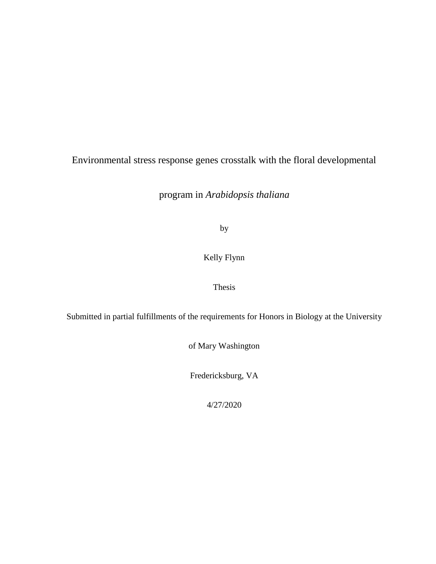# Environmental stress response genes crosstalk with the floral developmental

program in *Arabidopsis thaliana*

by

## Kelly Flynn

## Thesis

Submitted in partial fulfillments of the requirements for Honors in Biology at the University

of Mary Washington

Fredericksburg, VA

4/27/2020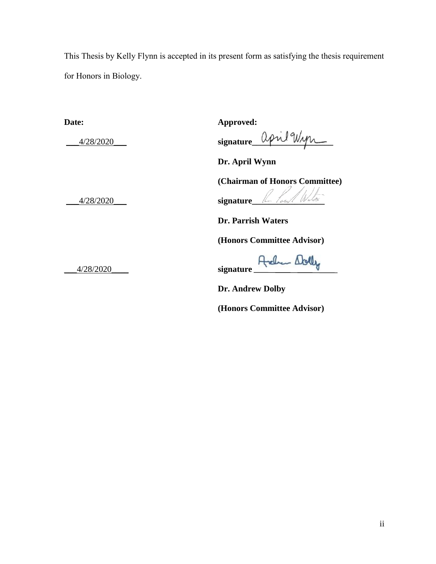This Thesis by Kelly Flynn is accepted in its present form as satisfying the thesis requirement for Honors in Biology.

**Date: Approved:**

1/28/2020 **signature** april  $\frac{d\phi}{d\phi}$ 

**Dr. April Wynn**

**(Chairman of Honors Committee)**

\_\_\_4/28/2020\_\_\_ **signature\_\_\_\_\_\_\_\_\_\_\_\_\_\_\_\_\_**

**Dr. Parrish Waters**

**(Honors Committee Advisor)**

\_\_\_4/28/2020\_\_\_\_ **signature** 

**Dr. Andrew Dolby** 

**(Honors Committee Advisor)**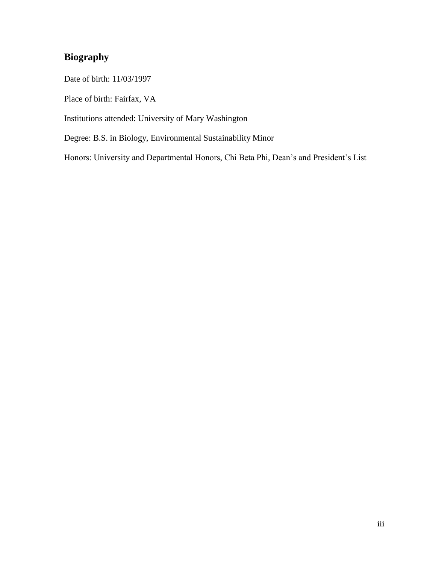# **Biography**

Date of birth: 11/03/1997

Place of birth: Fairfax, VA

Institutions attended: University of Mary Washington

Degree: B.S. in Biology, Environmental Sustainability Minor

Honors: University and Departmental Honors, Chi Beta Phi, Dean's and President's List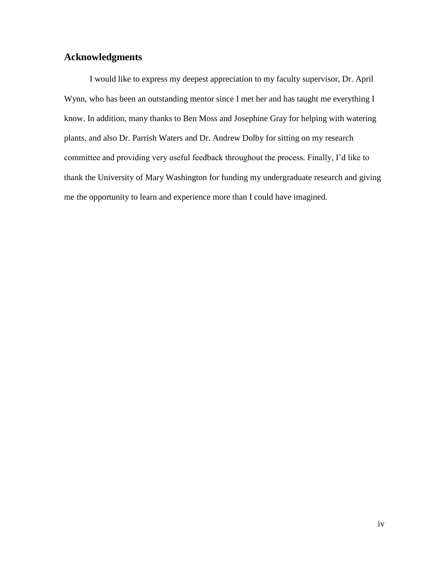# **Acknowledgments**

I would like to express my deepest appreciation to my faculty supervisor, Dr. April Wynn, who has been an outstanding mentor since I met her and has taught me everything I know. In addition, many thanks to Ben Moss and Josephine Gray for helping with watering plants, and also Dr. Parrish Waters and Dr. Andrew Dolby for sitting on my research committee and providing very useful feedback throughout the process. Finally, I'd like to thank the University of Mary Washington for funding my undergraduate research and giving me the opportunity to learn and experience more than I could have imagined.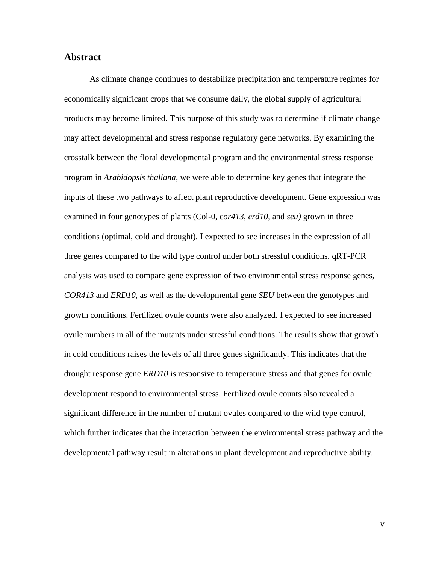### **Abstract**

As climate change continues to destabilize precipitation and temperature regimes for economically significant crops that we consume daily, the global supply of agricultural products may become limited. This purpose of this study was to determine if climate change may affect developmental and stress response regulatory gene networks. By examining the crosstalk between the floral developmental program and the environmental stress response program in *Arabidopsis thaliana*, we were able to determine key genes that integrate the inputs of these two pathways to affect plant reproductive development. Gene expression was examined in four genotypes of plants (Col-0, c*or413*, *erd10*, and *seu)* grown in three conditions (optimal, cold and drought). I expected to see increases in the expression of all three genes compared to the wild type control under both stressful conditions. qRT-PCR analysis was used to compare gene expression of two environmental stress response genes, *COR413* and *ERD10*, as well as the developmental gene *SEU* between the genotypes and growth conditions. Fertilized ovule counts were also analyzed. I expected to see increased ovule numbers in all of the mutants under stressful conditions. The results show that growth in cold conditions raises the levels of all three genes significantly. This indicates that the drought response gene *ERD10* is responsive to temperature stress and that genes for ovule development respond to environmental stress. Fertilized ovule counts also revealed a significant difference in the number of mutant ovules compared to the wild type control, which further indicates that the interaction between the environmental stress pathway and the developmental pathway result in alterations in plant development and reproductive ability.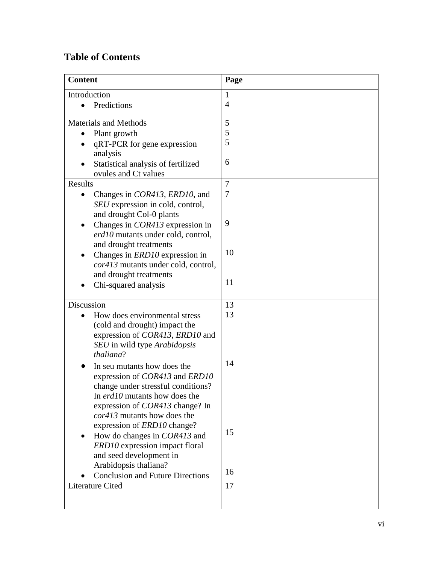# **Table of Contents**

| Introduction<br>-1<br>$\overline{4}$<br>Predictions<br>$\bullet$<br>5<br><b>Materials and Methods</b><br>5<br>Plant growth<br>5<br>qRT-PCR for gene expression<br>analysis<br>6<br>Statistical analysis of fertilized<br>ovules and Ct values<br>Results<br>$\overline{7}$<br>7<br>Changes in <i>COR413</i> , <i>ERD10</i> , and<br>$\bullet$<br>SEU expression in cold, control,<br>and drought Col-0 plants<br>9<br>Changes in <i>COR413</i> expression in<br>erd10 mutants under cold, control,<br>and drought treatments<br>10<br>Changes in <i>ERD10</i> expression in<br><i>cor413</i> mutants under cold, control,<br>and drought treatments<br>11<br>Chi-squared analysis<br>Discussion<br>13 |
|-------------------------------------------------------------------------------------------------------------------------------------------------------------------------------------------------------------------------------------------------------------------------------------------------------------------------------------------------------------------------------------------------------------------------------------------------------------------------------------------------------------------------------------------------------------------------------------------------------------------------------------------------------------------------------------------------------|
|                                                                                                                                                                                                                                                                                                                                                                                                                                                                                                                                                                                                                                                                                                       |
|                                                                                                                                                                                                                                                                                                                                                                                                                                                                                                                                                                                                                                                                                                       |
|                                                                                                                                                                                                                                                                                                                                                                                                                                                                                                                                                                                                                                                                                                       |
|                                                                                                                                                                                                                                                                                                                                                                                                                                                                                                                                                                                                                                                                                                       |
|                                                                                                                                                                                                                                                                                                                                                                                                                                                                                                                                                                                                                                                                                                       |
|                                                                                                                                                                                                                                                                                                                                                                                                                                                                                                                                                                                                                                                                                                       |
|                                                                                                                                                                                                                                                                                                                                                                                                                                                                                                                                                                                                                                                                                                       |
|                                                                                                                                                                                                                                                                                                                                                                                                                                                                                                                                                                                                                                                                                                       |
|                                                                                                                                                                                                                                                                                                                                                                                                                                                                                                                                                                                                                                                                                                       |
|                                                                                                                                                                                                                                                                                                                                                                                                                                                                                                                                                                                                                                                                                                       |
|                                                                                                                                                                                                                                                                                                                                                                                                                                                                                                                                                                                                                                                                                                       |
|                                                                                                                                                                                                                                                                                                                                                                                                                                                                                                                                                                                                                                                                                                       |
|                                                                                                                                                                                                                                                                                                                                                                                                                                                                                                                                                                                                                                                                                                       |
|                                                                                                                                                                                                                                                                                                                                                                                                                                                                                                                                                                                                                                                                                                       |
|                                                                                                                                                                                                                                                                                                                                                                                                                                                                                                                                                                                                                                                                                                       |
|                                                                                                                                                                                                                                                                                                                                                                                                                                                                                                                                                                                                                                                                                                       |
|                                                                                                                                                                                                                                                                                                                                                                                                                                                                                                                                                                                                                                                                                                       |
|                                                                                                                                                                                                                                                                                                                                                                                                                                                                                                                                                                                                                                                                                                       |
|                                                                                                                                                                                                                                                                                                                                                                                                                                                                                                                                                                                                                                                                                                       |
|                                                                                                                                                                                                                                                                                                                                                                                                                                                                                                                                                                                                                                                                                                       |
| 13<br>How does environmental stress                                                                                                                                                                                                                                                                                                                                                                                                                                                                                                                                                                                                                                                                   |
| (cold and drought) impact the                                                                                                                                                                                                                                                                                                                                                                                                                                                                                                                                                                                                                                                                         |
| expression of <i>COR413</i> , <i>ERD10</i> and                                                                                                                                                                                                                                                                                                                                                                                                                                                                                                                                                                                                                                                        |
| SEU in wild type Arabidopsis                                                                                                                                                                                                                                                                                                                                                                                                                                                                                                                                                                                                                                                                          |
| thaliana?                                                                                                                                                                                                                                                                                                                                                                                                                                                                                                                                                                                                                                                                                             |
| 14<br>In seu mutants how does the                                                                                                                                                                                                                                                                                                                                                                                                                                                                                                                                                                                                                                                                     |
| expression of COR413 and ERD10                                                                                                                                                                                                                                                                                                                                                                                                                                                                                                                                                                                                                                                                        |
| change under stressful conditions?                                                                                                                                                                                                                                                                                                                                                                                                                                                                                                                                                                                                                                                                    |
| In erd10 mutants how does the<br>expression of <i>COR413</i> change? In                                                                                                                                                                                                                                                                                                                                                                                                                                                                                                                                                                                                                               |
| cor413 mutants how does the                                                                                                                                                                                                                                                                                                                                                                                                                                                                                                                                                                                                                                                                           |
| expression of <i>ERD10</i> change?                                                                                                                                                                                                                                                                                                                                                                                                                                                                                                                                                                                                                                                                    |
| 15<br>How do changes in <i>COR413</i> and                                                                                                                                                                                                                                                                                                                                                                                                                                                                                                                                                                                                                                                             |
| ERD10 expression impact floral                                                                                                                                                                                                                                                                                                                                                                                                                                                                                                                                                                                                                                                                        |
| and seed development in                                                                                                                                                                                                                                                                                                                                                                                                                                                                                                                                                                                                                                                                               |
| Arabidopsis thaliana?                                                                                                                                                                                                                                                                                                                                                                                                                                                                                                                                                                                                                                                                                 |
| 16<br><b>Conclusion and Future Directions</b>                                                                                                                                                                                                                                                                                                                                                                                                                                                                                                                                                                                                                                                         |
| Literature Cited<br>17                                                                                                                                                                                                                                                                                                                                                                                                                                                                                                                                                                                                                                                                                |
|                                                                                                                                                                                                                                                                                                                                                                                                                                                                                                                                                                                                                                                                                                       |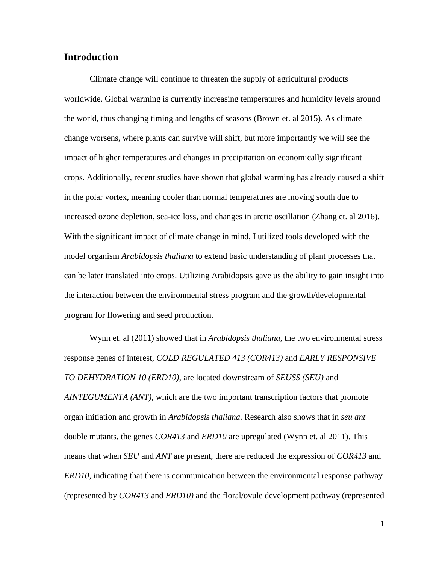## **Introduction**

Climate change will continue to threaten the supply of agricultural products worldwide. Global warming is currently increasing temperatures and humidity levels around the world, thus changing timing and lengths of seasons (Brown et. al 2015). As climate change worsens, where plants can survive will shift, but more importantly we will see the impact of higher temperatures and changes in precipitation on economically significant crops. Additionally, recent studies have shown that global warming has already caused a shift in the polar vortex, meaning cooler than normal temperatures are moving south due to increased ozone depletion, sea-ice loss, and changes in arctic oscillation (Zhang et. al 2016). With the significant impact of climate change in mind, I utilized tools developed with the model organism *Arabidopsis thaliana* to extend basic understanding of plant processes that can be later translated into crops. Utilizing Arabidopsis gave us the ability to gain insight into the interaction between the environmental stress program and the growth/developmental program for flowering and seed production.

Wynn et. al (2011) showed that in *Arabidopsis thaliana,* the two environmental stress response genes of interest, *COLD REGULATED 413 (COR413)* and *EARLY RESPONSIVE TO DEHYDRATION 10 (ERD10)*, are located downstream of *SEUSS (SEU)* and *AINTEGUMENTA (ANT)*, which are the two important transcription factors that promote organ initiation and growth in *Arabidopsis thaliana*. Research also shows that in *seu ant*  double mutants, the genes *COR413* and *ERD10* are upregulated (Wynn et. al 2011). This means that when *SEU* and *ANT* are present, there are reduced the expression of *COR413* and *ERD10*, indicating that there is communication between the environmental response pathway (represented by *COR413* and *ERD10)* and the floral/ovule development pathway (represented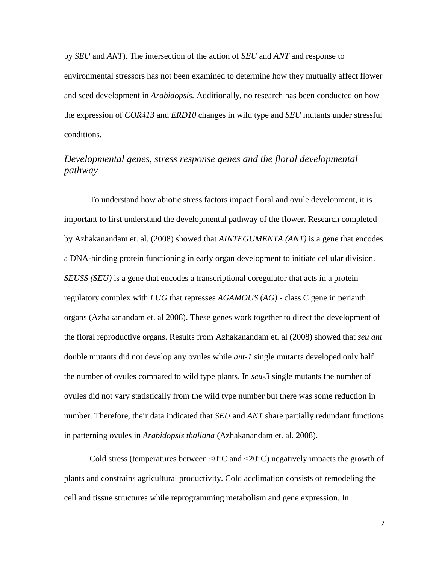by *SEU* and *ANT*). The intersection of the action of *SEU* and *ANT* and response to environmental stressors has not been examined to determine how they mutually affect flower and seed development in *Arabidopsis.* Additionally, no research has been conducted on how the expression of *COR413* and *ERD10* changes in wild type and *SEU* mutants under stressful conditions.

## *Developmental genes, stress response genes and the floral developmental pathway*

To understand how abiotic stress factors impact floral and ovule development, it is important to first understand the developmental pathway of the flower. Research completed by Azhakanandam et. al. (2008) showed that *AINTEGUMENTA (ANT)* is a gene that encodes a DNA-binding protein functioning in early organ development to initiate cellular division. *SEUSS (SEU)* is a gene that encodes a transcriptional coregulator that acts in a protein regulatory complex with *LUG* that represses *AGAMOUS* (*AG)* - class C gene in perianth organs (Azhakanandam et. al 2008). These genes work together to direct the development of the floral reproductive organs. Results from Azhakanandam et. al (2008) showed that *seu ant* double mutants did not develop any ovules while *ant-1* single mutants developed only half the number of ovules compared to wild type plants. In *seu-3* single mutants the number of ovules did not vary statistically from the wild type number but there was some reduction in number. Therefore, their data indicated that *SEU* and *ANT* share partially redundant functions in patterning ovules in *Arabidopsis thaliana* (Azhakanandam et. al. 2008).

Cold stress (temperatures between  $\langle 0^{\circ}C \rangle$  and  $\langle 20^{\circ}C \rangle$  negatively impacts the growth of plants and constrains agricultural productivity. Cold acclimation consists of remodeling the cell and tissue structures while reprogramming metabolism and gene expression. In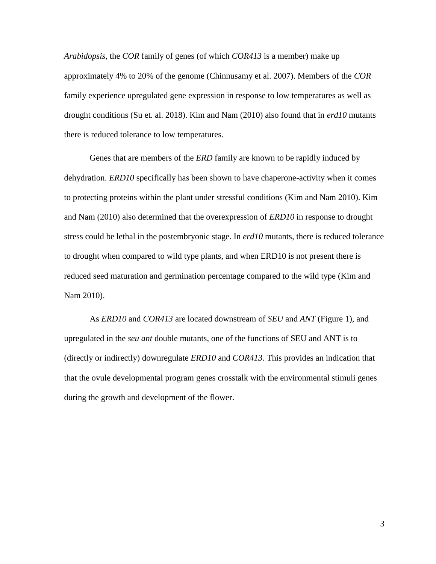*Arabidopsis*, the *COR* family of genes (of which *COR413* is a member) make up approximately 4% to 20% of the genome (Chinnusamy et al. 2007). Members of the *COR* family experience upregulated gene expression in response to low temperatures as well as drought conditions (Su et. al. 2018). Kim and Nam (2010) also found that in *erd10* mutants there is reduced tolerance to low temperatures.

Genes that are members of the *ERD* family are known to be rapidly induced by dehydration. *ERD10* specifically has been shown to have chaperone-activity when it comes to protecting proteins within the plant under stressful conditions (Kim and Nam 2010). Kim and Nam (2010) also determined that the overexpression of *ERD10* in response to drought stress could be lethal in the postembryonic stage. In *erd10* mutants, there is reduced tolerance to drought when compared to wild type plants, and when ERD10 is not present there is reduced seed maturation and germination percentage compared to the wild type (Kim and Nam 2010).

As *ERD10* and *COR413* are located downstream of *SEU* and *ANT* (Figure 1), and upregulated in the *seu ant* double mutants, one of the functions of SEU and ANT is to (directly or indirectly) downregulate *ERD10* and *COR413.* This provides an indication that that the ovule developmental program genes crosstalk with the environmental stimuli genes during the growth and development of the flower.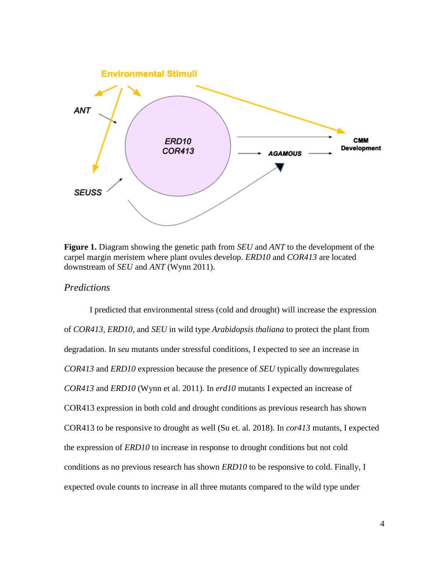

**Figure 1.** Diagram showing the genetic path from *SEU* and *ANT* to the development of the carpel margin meristem where plant ovules develop. *ERD10* and *COR413* are located downstream of *SEU* and *ANT* (Wynn 2011).

#### *Predictions*

I predicted that environmental stress (cold and drought) will increase the expression of *COR413*, *ERD10*, and *SEU* in wild type *Arabidopsis thaliana* to protect the plant from degradation. In *seu* mutants under stressful conditions, I expected to see an increase in *COR413* and *ERD10* expression because the presence of *SEU* typically downregulates *COR413* and *ERD10* (Wynn et al. 2011). In *erd10* mutants I expected an increase of COR413 expression in both cold and drought conditions as previous research has shown COR413 to be responsive to drought as well (Su et. al. 2018). In *cor413* mutants, I expected the expression of *ERD10* to increase in response to drought conditions but not cold conditions as no previous research has shown *ERD10* to be responsive to cold. Finally, I expected ovule counts to increase in all three mutants compared to the wild type under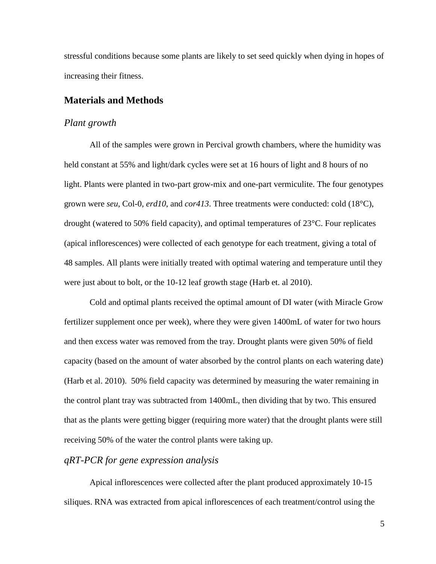stressful conditions because some plants are likely to set seed quickly when dying in hopes of increasing their fitness.

### **Materials and Methods**

#### *Plant growth*

All of the samples were grown in Percival growth chambers, where the humidity was held constant at 55% and light/dark cycles were set at 16 hours of light and 8 hours of no light. Plants were planted in two-part grow-mix and one-part vermiculite. The four genotypes grown were *seu*, Col-0, *erd10*, and *cor413*. Three treatments were conducted: cold (18°C), drought (watered to 50% field capacity), and optimal temperatures of 23°C. Four replicates (apical inflorescences) were collected of each genotype for each treatment, giving a total of 48 samples. All plants were initially treated with optimal watering and temperature until they were just about to bolt, or the 10-12 leaf growth stage (Harb et. al 2010).

Cold and optimal plants received the optimal amount of DI water (with Miracle Grow fertilizer supplement once per week), where they were given 1400mL of water for two hours and then excess water was removed from the tray. Drought plants were given 50% of field capacity (based on the amount of water absorbed by the control plants on each watering date) (Harb et al. 2010). 50% field capacity was determined by measuring the water remaining in the control plant tray was subtracted from 1400mL, then dividing that by two. This ensured that as the plants were getting bigger (requiring more water) that the drought plants were still receiving 50% of the water the control plants were taking up.

### *qRT-PCR for gene expression analysis*

Apical inflorescences were collected after the plant produced approximately 10-15 siliques. RNA was extracted from apical inflorescences of each treatment/control using the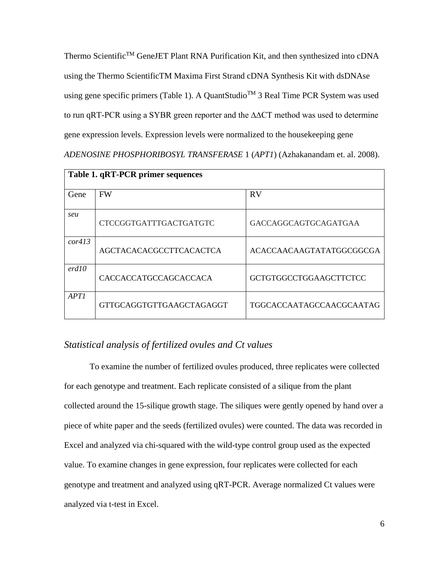Thermo Scientific<sup>TM</sup> GeneJET Plant RNA Purification Kit, and then synthesized into cDNA using the Thermo ScientificTM Maxima First Strand cDNA Synthesis Kit with dsDNAse using gene specific primers (Table 1). A QuantStudio<sup>TM</sup> 3 Real Time PCR System was used to run qRT-PCR using a SYBR green reporter and the ∆∆CT method was used to determine gene expression levels. Expression levels were normalized to the housekeeping gene *ADENOSINE PHOSPHORIBOSYL TRANSFERASE* 1 (*APT1*) (Azhakanandam et. al. 2008).

| Table 1. qRT-PCR primer sequences |                                 |                               |  |  |  |
|-----------------------------------|---------------------------------|-------------------------------|--|--|--|
| Gene                              | <b>FW</b>                       | <b>RV</b>                     |  |  |  |
| seu                               | <b>CTCCGGTGATTTGACTGATGTC</b>   | GACCAGGCAGTGCAGATGAA          |  |  |  |
| cor413                            | <b>AGCTACACACGCCTTCACACTCA</b>  | ACACCAACAAGTATATGGCGGCGA      |  |  |  |
| erd10                             | <b>CACCACCATGCCAGCACCACA</b>    | <b>GCTGTGGCCTGGAAGCTTCTCC</b> |  |  |  |
| APT1                              | <b>GTTGCAGGTGTTGAAGCTAGAGGT</b> | TGGCACCAATAGCCAACGCAATAG      |  |  |  |

## *Statistical analysis of fertilized ovules and Ct values*

To examine the number of fertilized ovules produced, three replicates were collected for each genotype and treatment. Each replicate consisted of a silique from the plant collected around the 15-silique growth stage. The siliques were gently opened by hand over a piece of white paper and the seeds (fertilized ovules) were counted. The data was recorded in Excel and analyzed via chi-squared with the wild-type control group used as the expected value. To examine changes in gene expression, four replicates were collected for each genotype and treatment and analyzed using qRT-PCR. Average normalized Ct values were analyzed via t-test in Excel.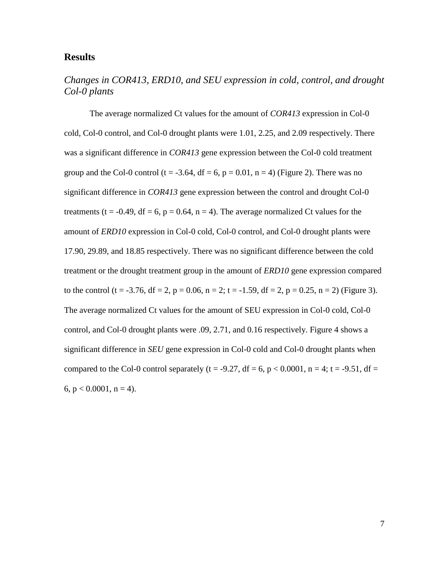### **Results**

# *Changes in COR413, ERD10, and SEU expression in cold, control, and drought Col-0 plants*

The average normalized Ct values for the amount of *COR413* expression in Col-0 cold, Col-0 control, and Col-0 drought plants were 1.01, 2.25, and 2.09 respectively. There was a significant difference in *COR413* gene expression between the Col-0 cold treatment group and the Col-0 control (t = -3.64, df = 6, p = 0.01, n = 4) (Figure 2). There was no significant difference in *COR413* gene expression between the control and drought Col-0 treatments (t = -0.49, df = 6, p = 0.64, n = 4). The average normalized Ct values for the amount of *ERD10* expression in Col-0 cold, Col-0 control, and Col-0 drought plants were 17.90, 29.89, and 18.85 respectively. There was no significant difference between the cold treatment or the drought treatment group in the amount of *ERD10* gene expression compared to the control (t = -3.76, df = 2, p = 0.06, n = 2; t = -1.59, df = 2, p = 0.25, n = 2) (Figure 3). The average normalized Ct values for the amount of SEU expression in Col-0 cold, Col-0 control, and Col-0 drought plants were .09, 2.71, and 0.16 respectively. Figure 4 shows a significant difference in *SEU* gene expression in Col-0 cold and Col-0 drought plants when compared to the Col-0 control separately (t = -9.27, df = 6, p < 0.0001, n = 4; t = -9.51, df = 6,  $p < 0.0001$ ,  $n = 4$ ).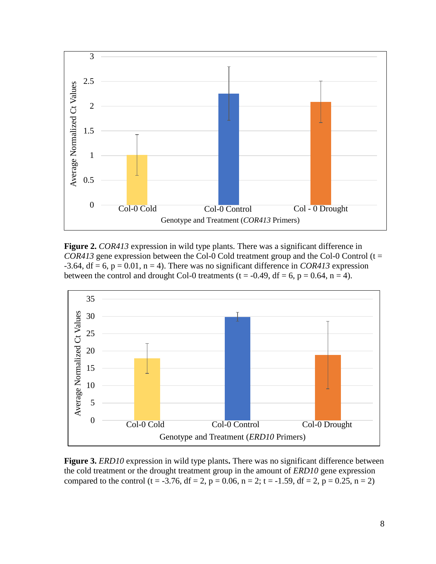

**Figure 2.** *COR413* expression in wild type plants. There was a significant difference in *COR413* gene expression between the Col-0 Cold treatment group and the Col-0 Control ( $t =$  $-3.64$ , df = 6, p = 0.01, n = 4). There was no significant difference in *COR413* expression between the control and drought Col-0 treatments ( $t = -0.49$ ,  $df = 6$ ,  $p = 0.64$ ,  $n = 4$ ).



**Figure 3.** *ERD10* expression in wild type plants**.** There was no significant difference between the cold treatment or the drought treatment group in the amount of *ERD10* gene expression compared to the control (t = -3.76, df = 2, p = 0.06, n = 2; t = -1.59, df = 2, p = 0.25, n = 2)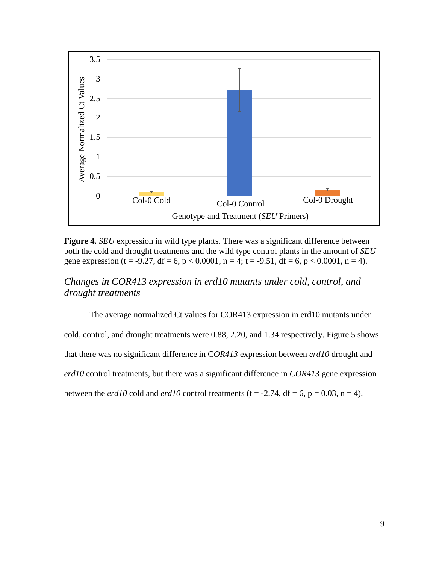

**Figure 4.** *SEU* expression in wild type plants. There was a significant difference between both the cold and drought treatments and the wild type control plants in the amount of *SEU* gene expression (t = -9.27, df = 6, p < 0.0001, n = 4; t = -9.51, df = 6, p < 0.0001, n = 4).

## *Changes in COR413 expression in erd10 mutants under cold, control, and drought treatments*

The average normalized Ct values for COR413 expression in erd10 mutants under cold, control, and drought treatments were 0.88, 2.20, and 1.34 respectively. Figure 5 shows that there was no significant difference in C*OR413* expression between *erd10* drought and *erd10* control treatments, but there was a significant difference in *COR413* gene expression between the *erd10* cold and *erd10* control treatments (t = -2.74, df = 6, p = 0.03, n = 4).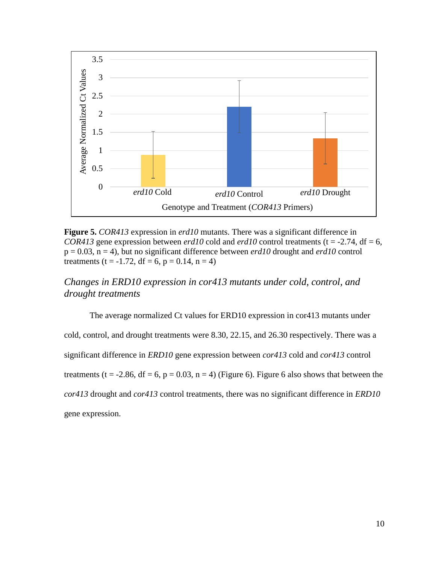

**Figure 5.** *COR413* expression in *erd10* mutants. There was a significant difference in *COR413* gene expression between *erd10* cold and *erd10* control treatments (t = -2.74, df = 6,  $p = 0.03$ ,  $n = 4$ ), but no significant difference between *erd10* drought and *erd10* control treatments (t =  $-1.72$ , df = 6, p = 0.14, n = 4)

# *Changes in ERD10 expression in cor413 mutants under cold, control, and drought treatments*

The average normalized Ct values for ERD10 expression in cor413 mutants under cold, control, and drought treatments were 8.30, 22.15, and 26.30 respectively. There was a significant difference in *ERD10* gene expression between *cor413* cold and *cor413* control treatments (t = -2.86, df = 6, p = 0.03, n = 4) (Figure 6). Figure 6 also shows that between the *cor413* drought and *cor413* control treatments, there was no significant difference in *ERD10*  gene expression.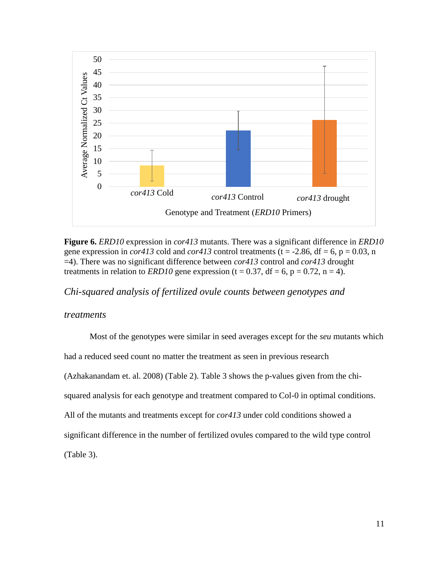

**Figure 6.** *ERD10* expression in *cor413* mutants. There was a significant difference in *ERD10*  gene expression in *cor413* cold and *cor413* control treatments ( $t = -2.86$ ,  $df = 6$ ,  $p = 0.03$ , n =4). There was no significant difference between *cor413* control and *cor413* drought treatments in relation to *ERD10* gene expression (t = 0.37, df = 6, p = 0.72, n = 4).

*Chi-squared analysis of fertilized ovule counts between genotypes and* 

### *treatments*

Most of the genotypes were similar in seed averages except for the *seu* mutants which had a reduced seed count no matter the treatment as seen in previous research (Azhakanandam et. al. 2008) (Table 2). Table 3 shows the p-values given from the chisquared analysis for each genotype and treatment compared to Col-0 in optimal conditions. All of the mutants and treatments except for *cor413* under cold conditions showed a significant difference in the number of fertilized ovules compared to the wild type control (Table 3).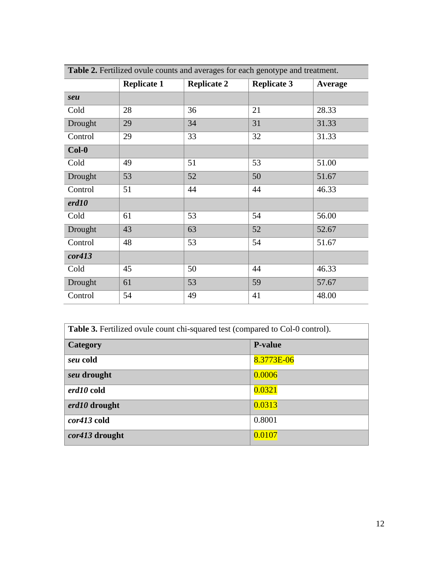| Table 2. Fertilized ovule counts and averages for each genotype and treatment. |                    |                    |                    |                |  |  |
|--------------------------------------------------------------------------------|--------------------|--------------------|--------------------|----------------|--|--|
|                                                                                | <b>Replicate 1</b> | <b>Replicate 2</b> | <b>Replicate 3</b> | <b>Average</b> |  |  |
| seu                                                                            |                    |                    |                    |                |  |  |
| Cold                                                                           | 28                 | 36                 | 21                 | 28.33          |  |  |
| Drought                                                                        | 29                 | 34                 | 31                 | 31.33          |  |  |
| Control                                                                        | 29                 | 33                 | 32                 | 31.33          |  |  |
| $Col-0$                                                                        |                    |                    |                    |                |  |  |
| Cold                                                                           | 49                 | 51                 | 53                 | 51.00          |  |  |
| Drought                                                                        | 53                 | 52                 | 50                 | 51.67          |  |  |
| Control                                                                        | 51                 | 44                 | 44                 | 46.33          |  |  |
| erd10                                                                          |                    |                    |                    |                |  |  |
| Cold                                                                           | 61                 | 53                 | 54                 | 56.00          |  |  |
| Drought                                                                        | 43                 | 63                 | 52                 | 52.67          |  |  |
| Control                                                                        | 48                 | 53                 | 54                 | 51.67          |  |  |
| cor413                                                                         |                    |                    |                    |                |  |  |
| Cold                                                                           | 45                 | 50                 | 44                 | 46.33          |  |  |
| Drought                                                                        | 61                 | 53                 | 59                 | 57.67          |  |  |
| Control                                                                        | 54                 | 49                 | 41                 | 48.00          |  |  |

| <b>Table 3.</b> Fertilized ovule count chi-squared test (compared to Col-0 control). |                |  |  |  |
|--------------------------------------------------------------------------------------|----------------|--|--|--|
| Category                                                                             | <b>P-value</b> |  |  |  |
| seu cold                                                                             | 8.3773E-06     |  |  |  |
| seu drought                                                                          | 0.0006         |  |  |  |
| erd10 cold                                                                           | 0.0321         |  |  |  |
| erd10 drought                                                                        | 0.0313         |  |  |  |
| cor413 cold                                                                          | 0.8001         |  |  |  |
| <i>cor413</i> drought                                                                | 0.0107         |  |  |  |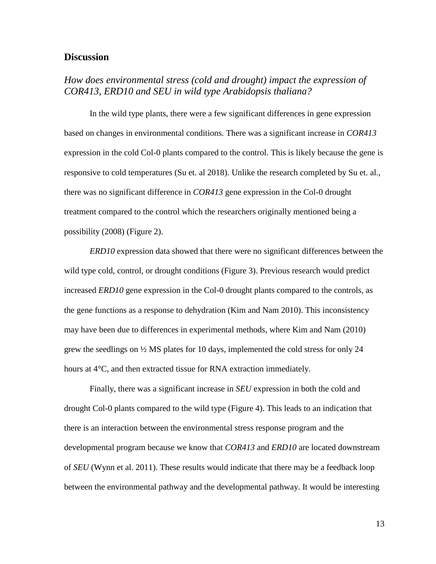### **Discussion**

# *How does environmental stress (cold and drought) impact the expression of COR413, ERD10 and SEU in wild type Arabidopsis thaliana?*

In the wild type plants, there were a few significant differences in gene expression based on changes in environmental conditions. There was a significant increase in *COR413* expression in the cold Col-0 plants compared to the control. This is likely because the gene is responsive to cold temperatures (Su et. al 2018). Unlike the research completed by Su et. al., there was no significant difference in *COR413* gene expression in the Col-0 drought treatment compared to the control which the researchers originally mentioned being a possibility (2008) (Figure 2).

*ERD10* expression data showed that there were no significant differences between the wild type cold, control, or drought conditions (Figure 3). Previous research would predict increased *ERD10* gene expression in the Col-0 drought plants compared to the controls, as the gene functions as a response to dehydration (Kim and Nam 2010). This inconsistency may have been due to differences in experimental methods, where Kim and Nam (2010) grew the seedlings on ½ MS plates for 10 days, implemented the cold stress for only 24 hours at 4°C, and then extracted tissue for RNA extraction immediately.

Finally, there was a significant increase in *SEU* expression in both the cold and drought Col-0 plants compared to the wild type (Figure 4). This leads to an indication that there is an interaction between the environmental stress response program and the developmental program because we know that *COR413* and *ERD10* are located downstream of *SEU* (Wynn et al. 2011). These results would indicate that there may be a feedback loop between the environmental pathway and the developmental pathway. It would be interesting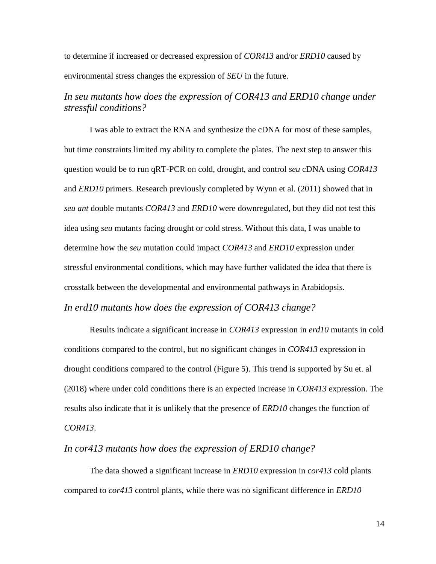to determine if increased or decreased expression of *COR413* and/or *ERD10* caused by environmental stress changes the expression of *SEU* in the future.

## *In seu mutants how does the expression of COR413 and ERD10 change under stressful conditions?*

I was able to extract the RNA and synthesize the cDNA for most of these samples, but time constraints limited my ability to complete the plates. The next step to answer this question would be to run qRT-PCR on cold, drought, and control *seu* cDNA using *COR413* and *ERD10* primers. Research previously completed by Wynn et al. (2011) showed that in *seu ant* double mutants *COR413* and *ERD10* were downregulated, but they did not test this idea using *seu* mutants facing drought or cold stress. Without this data, I was unable to determine how the *seu* mutation could impact *COR413* and *ERD10* expression under stressful environmental conditions, which may have further validated the idea that there is crosstalk between the developmental and environmental pathways in Arabidopsis. *In erd10 mutants how does the expression of COR413 change?*

Results indicate a significant increase in *COR413* expression in *erd10* mutants in cold conditions compared to the control, but no significant changes in *COR413* expression in drought conditions compared to the control (Figure 5). This trend is supported by Su et. al (2018) where under cold conditions there is an expected increase in *COR413* expression. The results also indicate that it is unlikely that the presence of *ERD10* changes the function of *COR413*.

#### *In cor413 mutants how does the expression of ERD10 change?*

The data showed a significant increase in *ERD10* expression in *cor413* cold plants compared to *cor413* control plants, while there was no significant difference in *ERD10*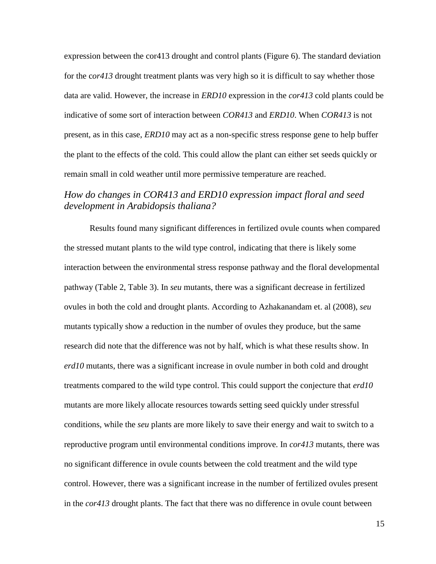expression between the cor413 drought and control plants (Figure 6). The standard deviation for the c*or413* drought treatment plants was very high so it is difficult to say whether those data are valid. However, the increase in *ERD10* expression in the *cor413* cold plants could be indicative of some sort of interaction between *COR413* and *ERD10*. When *COR413* is not present, as in this case, *ERD10* may act as a non-specific stress response gene to help buffer the plant to the effects of the cold. This could allow the plant can either set seeds quickly or remain small in cold weather until more permissive temperature are reached.

## *How do changes in COR413 and ERD10 expression impact floral and seed development in Arabidopsis thaliana?*

Results found many significant differences in fertilized ovule counts when compared the stressed mutant plants to the wild type control, indicating that there is likely some interaction between the environmental stress response pathway and the floral developmental pathway (Table 2, Table 3). In *seu* mutants, there was a significant decrease in fertilized ovules in both the cold and drought plants. According to Azhakanandam et. al (2008), *seu* mutants typically show a reduction in the number of ovules they produce, but the same research did note that the difference was not by half, which is what these results show. In *erd10* mutants, there was a significant increase in ovule number in both cold and drought treatments compared to the wild type control. This could support the conjecture that *erd10* mutants are more likely allocate resources towards setting seed quickly under stressful conditions, while the *seu* plants are more likely to save their energy and wait to switch to a reproductive program until environmental conditions improve. In *cor413* mutants, there was no significant difference in ovule counts between the cold treatment and the wild type control. However, there was a significant increase in the number of fertilized ovules present in the *cor413* drought plants. The fact that there was no difference in ovule count between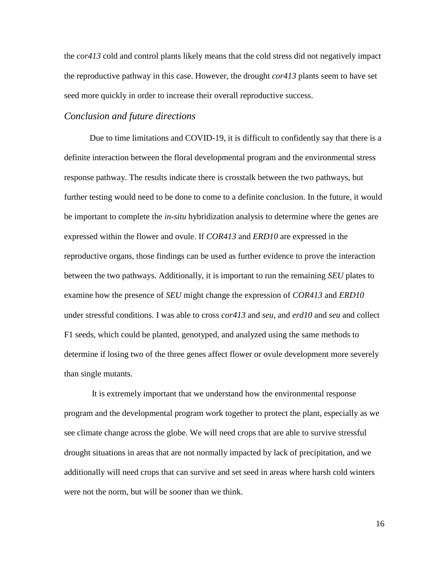the *cor413* cold and control plants likely means that the cold stress did not negatively impact the reproductive pathway in this case. However, the drought *cor413* plants seem to have set seed more quickly in order to increase their overall reproductive success.

### *Conclusion and future directions*

Due to time limitations and COVID-19, it is difficult to confidently say that there is a definite interaction between the floral developmental program and the environmental stress response pathway. The results indicate there is crosstalk between the two pathways, but further testing would need to be done to come to a definite conclusion. In the future, it would be important to complete the *in-situ* hybridization analysis to determine where the genes are expressed within the flower and ovule. If *COR413* and *ERD10* are expressed in the reproductive organs, those findings can be used as further evidence to prove the interaction between the two pathways. Additionally, it is important to run the remaining *SEU* plates to examine how the presence of *SEU* might change the expression of *COR413* and *ERD10* under stressful conditions. I was able to cross *cor413* and *seu*, and *erd10* and *seu* and collect F1 seeds, which could be planted, genotyped, and analyzed using the same methods to determine if losing two of the three genes affect flower or ovule development more severely than single mutants.

It is extremely important that we understand how the environmental response program and the developmental program work together to protect the plant, especially as we see climate change across the globe. We will need crops that are able to survive stressful drought situations in areas that are not normally impacted by lack of precipitation, and we additionally will need crops that can survive and set seed in areas where harsh cold winters were not the norm, but will be sooner than we think.

16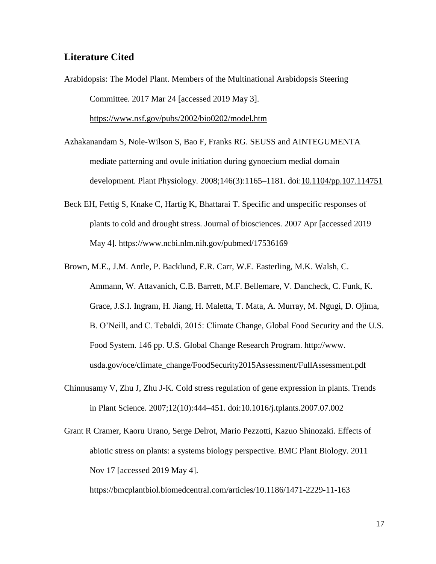## **Literature Cited**

- Arabidopsis: The Model Plant. Members of the Multinational Arabidopsis Steering Committee. 2017 Mar 24 [accessed 2019 May 3]. <https://www.nsf.gov/pubs/2002/bio0202/model.htm>
- Azhakanandam S, Nole-Wilson S, Bao F, Franks RG. SEUSS and AINTEGUMENTA mediate patterning and ovule initiation during gynoecium medial domain development. Plant Physiology. 2008;146(3):1165–1181. doi[:10.1104/pp.107.114751](https://doi.org/10.1104/pp.107.114751)
- Beck EH, Fettig S, Knake C, Hartig K, Bhattarai T. Specific and unspecific responses of plants to cold and drought stress. Journal of biosciences. 2007 Apr [accessed 2019 May 4]. https://www.ncbi.nlm.nih.gov/pubmed/17536169
- Brown, M.E., J.M. Antle, P. Backlund, E.R. Carr, W.E. Easterling, M.K. Walsh, C. Ammann, W. Attavanich, C.B. Barrett, M.F. Bellemare, V. Dancheck, C. Funk, K. Grace, J.S.I. Ingram, H. Jiang, H. Maletta, T. Mata, A. Murray, M. Ngugi, D. Ojima, B. O'Neill, and C. Tebaldi, 2015: Climate Change, Global Food Security and the U.S. Food System. 146 pp. U.S. Global Change Research Program. http://www. usda.gov/oce/climate\_change/FoodSecurity2015Assessment/FullAssessment.pdf
- Chinnusamy V, Zhu J, Zhu J-K. Cold stress regulation of gene expression in plants. Trends in Plant Science. 2007;12(10):444–451. doi[:10.1016/j.tplants.2007.07.002](https://doi.org/10.1016/j.tplants.2007.07.002)
- Grant R Cramer, Kaoru Urano, Serge Delrot, Mario Pezzotti, Kazuo Shinozaki. Effects of abiotic stress on plants: a systems biology perspective. BMC Plant Biology. 2011 Nov 17 [accessed 2019 May 4].

<https://bmcplantbiol.biomedcentral.com/articles/10.1186/1471-2229-11-163>